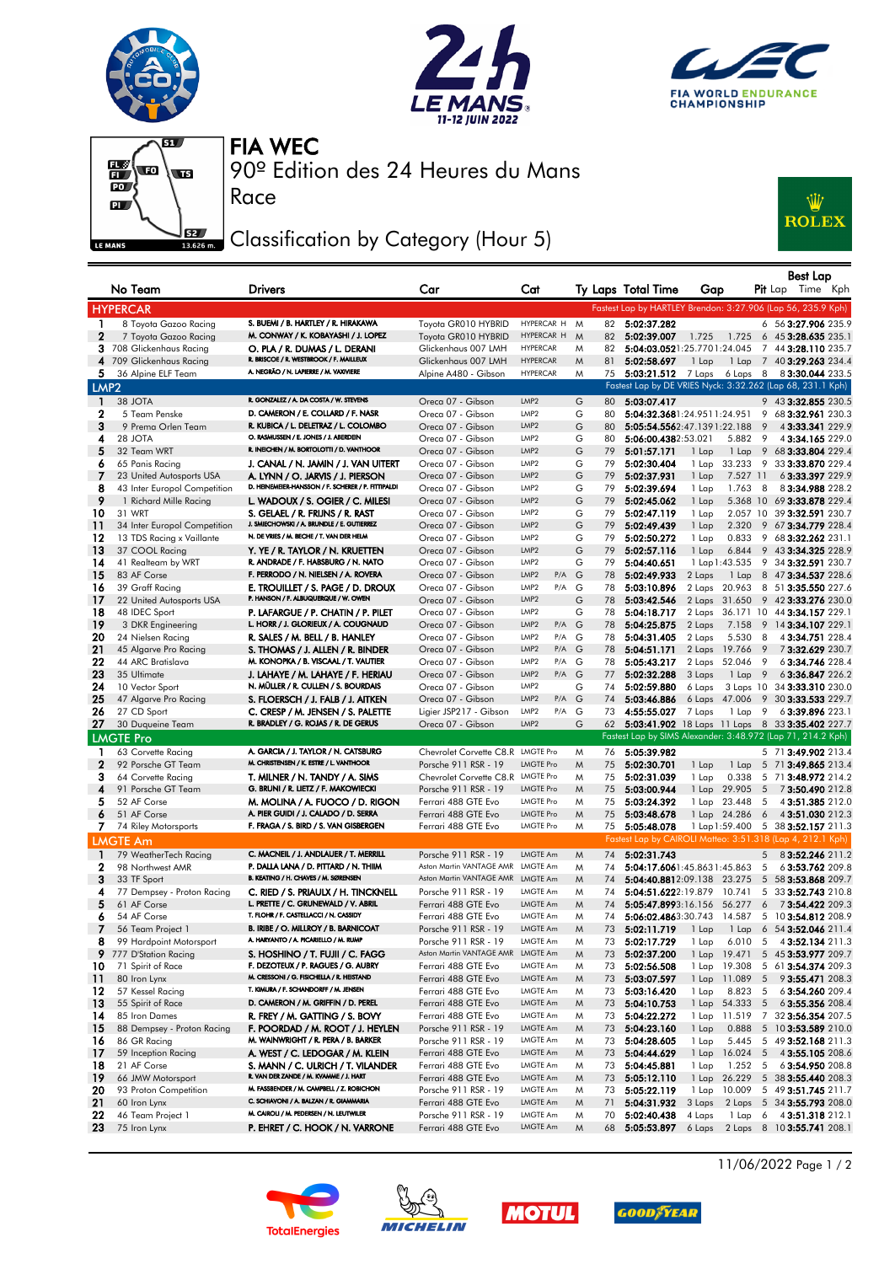







Race

90º Edition des 24 Heures du Mans FIA WEC

## Classification by Category (Hour 5)



|                  | No Team                                     | <b>Drivers</b>                                                                     | Car                                         | Cat                                         |        |          | Ty Laps Total Time                                | Gap                     |                 |                      | <b>Best Lap</b><br>Pit Lap Time Kph                          |
|------------------|---------------------------------------------|------------------------------------------------------------------------------------|---------------------------------------------|---------------------------------------------|--------|----------|---------------------------------------------------|-------------------------|-----------------|----------------------|--------------------------------------------------------------|
|                  | <b>HYPERCAR</b>                             |                                                                                    |                                             |                                             |        |          |                                                   |                         |                 |                      | Fastest Lap by HARTLEY Brendon: 3:27.906 (Lap 56, 235.9 Kph) |
| $\mathbf{1}$     | 8 Toyota Gazoo Racing                       | S. BUEMI / B. HARTLEY / R. HIRAKAWA                                                | Toyota GR010 HYBRID                         | HYPERCAR H M                                |        | 82       | 5:02:37.282                                       |                         |                 |                      | 6 56 3:27.906 235.9                                          |
| $\mathbf{2}$     | 7 Toyota Gazoo Racing                       | M. CONWAY / K. KOBAYASHI / J. LOPEZ                                                | Toyota GR010 HYBRID                         | HYPERCAR H                                  | M      | 82       | 5:02:39.007                                       | 1.725                   | 1.725           |                      | 6 45 3:28.635 235.1                                          |
|                  | 3 708 Glickenhaus Racing                    | O. PLA / R. DUMAS / L. DERANI                                                      | Glickenhaus 007 LMH                         | <b>HYPERCAR</b>                             | M      | 82       | 5:04:03.0521:25.7701:24.045                       |                         |                 |                      | 7 44 3:28.110 235.7                                          |
| 4                | 709 Glickenhaus Racing                      | R. BRISCOE / R. WESTBROOK / F. MAILLEUX                                            | Glickenhaus 007 LMH                         | <b>HYPERCAR</b>                             | M      | 81       | 5:02:58.697                                       | 1 Lap                   |                 |                      | 1 Lap 7 40 3:29.263 234.4                                    |
| 5.               | 36 Alpine ELF Team                          | A. NEGRÃO / N. LAPIERRE / M. VAXIVIERE                                             | Alpine A480 - Gibson                        | <b>HYPERCAR</b>                             | M      | 75       | $5:03:21.512$ 7 Laps                              |                         |                 |                      | 6 Laps 8 8 3:30.044 233.5                                    |
| LMP <sub>2</sub> |                                             |                                                                                    |                                             |                                             |        |          |                                                   |                         |                 |                      | Fastest Lap by DE VRIES Nyck: 3:32.262 (Lap 68, 231.1 Kph)   |
| 1                | 38 JOTA                                     | R. GONZALEZ / A. DA COSTA / W. STEVENS                                             | Oreca 07 - Gibson                           | LMP <sub>2</sub>                            | G      | 80       | 5:03:07.417                                       |                         |                 |                      | 9 43 3:32.855 230.5                                          |
| $\mathbf{2}$     | 5 Team Penske                               | D. CAMERON / E. COLLARD / F. NASR                                                  | Oreca 07 - Gibson                           | LMP <sub>2</sub>                            | G      | 80       | 5:04:32.3681:24.9511:24.951                       |                         |                 |                      | 9 68 3:32.961 230.3                                          |
| 3                | 9 Prema Orlen Team                          | R. KUBICA / L. DELETRAZ / L. COLOMBO                                               | Oreca 07 - Gibson                           | LMP <sub>2</sub>                            | G      | 80       | 5:05:54.5562:47.1391:22.188                       |                         |                 | 9                    | 4 3:33.341 229.9                                             |
| 4                | 28 JOTA                                     | O. RASMUSSEN / E. JONES / J. ABERDEIN<br>R. INEICHEN / M. BORTOLOTTI / D. VANTHOOR | Oreca 07 - Gibson                           | LMP2                                        | G      | 80       | 5:06:00.4382:53.021                               |                         | 5.882           | - 9                  | 43:34.165 229.0                                              |
| 5<br>6           | 32 Team WRT                                 | J. CANAL / N. JAMIN / J. VAN UITERT                                                | Oreca 07 - Gibson<br>Oreca 07 - Gibson      | LMP <sub>2</sub><br>LMP <sub>2</sub>        | G<br>G | 79<br>79 | 5:01:57.171<br>5:02:30.404                        | 1 Lap                   | 1 Lap<br>33.233 | 9                    | 9 68 3:33.804 229.4<br>33 3:33.870 229.4                     |
| 7                | 65 Panis Racing<br>23 United Autosports USA | A. LYNN / O. JARVIS / J. PIERSON                                                   | Oreca 07 - Gibson                           | LMP <sub>2</sub>                            | G      | 79       | 5:02:37.931                                       | 1 Lap<br>1 Lap          | 7.527 11        |                      | 63:33.397 229.9                                              |
| 8                | 43 Inter Europol Competition                | D. HEINEMEIER-HANSSON / F. SCHERER / P. FITTIPALDI                                 | Oreca 07 - Gibson                           | LMP <sub>2</sub>                            | G      | 79       | 5:02:39.694                                       | 1 Lap                   | 1.763           | 8                    | 83:34.988 228.2                                              |
| 9                | 1 Richard Mille Racing                      | L. WADOUX / S. OGIER / C. MILESI                                                   | Oreca 07 - Gibson                           | LMP <sub>2</sub>                            | G      | 79       | 5:02:45.062                                       | 1 Lap                   | 5.368 10        |                      | 69 3:33.878 229.4                                            |
| 10               | 31 WRT                                      | S. GELAEL / R. FRIJNS / R. RAST                                                    | Oreca 07 - Gibson                           | LMP <sub>2</sub>                            | G      | 79       | 5:02:47.119                                       | 1 Lap                   |                 |                      | 2.057 10 39 3:32.591 230.7                                   |
| 11               | 34 Inter Europol Competition                | J. SMIECHOWSKI / A. BRUNDLE / E. GUTIERREZ                                         | Oreca 07 - Gibson                           | LMP <sub>2</sub>                            | G      | 79       | 5:02:49.439                                       | 1 Lap                   | 2.320           | 9                    | 67 3:34.779 228.4                                            |
| 12               | 13 TDS Racing x Vaillante                   | N. DE VRIES / M. BECHE / T. VAN DER HELM                                           | Oreca 07 - Gibson                           | LMP <sub>2</sub>                            | G      | 79       | 5:02:50.272                                       | 1 Lap                   | 0.833           | 9                    | 68 3:32.262 231.1                                            |
| 13               | 37 COOL Racing                              | Y. YE / R. TAYLOR / N. KRUETTEN                                                    | Oreca 07 - Gibson                           | LMP <sub>2</sub>                            | G      | 79       | 5:02:57.116                                       | 1 Lap                   | 6.844           |                      | 9 43 3:34.325 228.9                                          |
| 14               | 41 Realteam by WRT                          | R. ANDRADE / F. HABSBURG / N. NATO                                                 | Oreca 07 - Gibson                           | LMP <sub>2</sub>                            | G      | 79       | 5:04:40.651                                       | 1 Lap 1:43.535          |                 |                      | 9 34 3:32.591 230.7                                          |
| 15               | 83 AF Corse                                 | F. PERRODO / N. NIELSEN / A. ROVERA                                                | Oreca 07 - Gibson                           | LMP <sub>2</sub><br>P/A                     | G      | 78       | 5:02:49.933                                       | 2 Laps                  | 1 Lap           |                      | 8 47 3:34.537 228.6                                          |
| 16               | 39 Graff Racing                             | E. TROUILLET / S. PAGE / D. DROUX                                                  | Oreca 07 - Gibson                           | LMP <sub>2</sub><br>P/A                     | G      | 78       | 5:03:10.896                                       | 2 Laps                  | 20.963          |                      | 8 51 3:35.550 227.6                                          |
| 17               | 22 United Autosports USA                    | P. HANSON / F. ALBUQUERQUE / W. OWEN                                               | Oreca 07 - Gibson                           | LMP <sub>2</sub>                            | G      | 78       | 5:03:42.546                                       | 2 Laps 31.650           |                 |                      | 9 42 3:33.276 230.0                                          |
| 18               | 48 IDEC Sport                               | P. LAFARGUE / P. CHATIN / P. PILET                                                 | Oreca 07 - Gibson                           | LMP <sub>2</sub>                            | G      | 78       | 5:04:18.717                                       |                         |                 |                      | 2 Laps 36.171 10 44 3:34.157 229.1                           |
| 19               | 3 DKR Engineering                           | L. HORR / J. GLORIEUX / A. COUGNAUD                                                | Oreca 07 - Gibson                           | LMP <sub>2</sub><br>P/A<br>LMP <sub>2</sub> | G<br>G | 78       | 5:04:25.875                                       | 2 Laps                  | 7.158           |                      | 9 14 3:34.107 229.1                                          |
| 20<br>21         | 24 Nielsen Racing<br>45 Algarve Pro Racing  | R. SALES / M. BELL / B. HANLEY<br>S. THOMAS / J. ALLEN / R. BINDER                 | Oreca 07 - Gibson<br>Oreca 07 - Gibson      | P/A<br>LMP <sub>2</sub><br>P/A G            |        | 78<br>78 | 5:04:31.405<br>5:04:51.171                        | 2 Laps<br>2 Laps 19.766 | 5.530           | -8<br>$\overline{9}$ | 43:34.751 228.4<br>73:32.629 230.7                           |
| 22               | 44 ARC Bratislava                           | M. KONOPKA / B. VISCAAL / T. VAUTIER                                               | Oreca 07 - Gibson                           | LMP2<br>P/A G                               |        | 78       | 5:05:43.217                                       | 2 Laps 52.046           |                 | - 9                  | 63:34.746 228.4                                              |
| 23               | 35 Ultimate                                 | J. LAHAYE / M. LAHAYE / F. HERIAU                                                  | Oreca 07 - Gibson                           | LMP <sub>2</sub><br>P/A G                   |        | 77       | 5:02:32.288                                       | 3 Laps                  | $1$ Lap $9$     |                      | 63:36.847 226.2                                              |
| 24               | 10 Vector Sport                             | N. MÜLLER / R. CULLEN / S. BOURDAIS                                                | Oreca 07 - Gibson                           | LMP <sub>2</sub>                            | G      | 74       | 5:02:59.880                                       | 6 Laps                  |                 |                      | 3 Laps 10 34 3:33.310 230.0                                  |
| 25               | 47 Algarve Pro Racing                       | S. FLOERSCH / J. FALB / J. AITKEN                                                  | Oreca 07 - Gibson                           | LMP <sub>2</sub><br>P/A G                   |        | 74       | 5:03:46.886                                       |                         |                 |                      | 6 Laps 47.006 9 30 3:33.533 229.7                            |
| 26               | 27 CD Sport                                 | C. CRESP / M. JENSEN / S. PALETTE                                                  | Ligier JSP217 - Gibson                      | LMP2<br>P/A G                               |        | 73       | 4:55:55.027                                       | 7 Laps                  | $1$ Lap $9$     |                      | 63:39.896 223.1                                              |
| 27               | 30 Duqueine Team                            | R. BRADLEY / G. ROJAS / R. DE GERUS                                                | Oreca 07 - Gibson                           | LMP <sub>2</sub>                            | G      | 62       |                                                   |                         |                 |                      | 5:03:41.902 18 Laps 11 Laps 8 33 3:35.402 227.7              |
|                  | <b>LMGTE Pro</b>                            |                                                                                    |                                             |                                             |        |          |                                                   |                         |                 |                      | Fastest Lap by SIMS Alexander: 3:48.972 (Lap 71, 214.2 Kph)  |
| L                | 63 Corvette Racing                          | A. GARCIA / J. TAYLOR / N. CATSBURG                                                | Chevrolet Corvette C8.R LMGTE Pro           |                                             | M      | 76       | 5:05:39.982                                       |                         |                 |                      | 5 71 3:49.902 213.4                                          |
| $\mathbf{2}$     | 92 Porsche GT Team                          | M. CHRISTENSEN / K. ESTRE / L. VANTHOOR                                            | Porsche 911 RSR - 19                        | <b>LMGTE Pro</b>                            | M      | 75       | 5:02:30.701                                       | 1 Lap                   | 1 Lap           |                      | 5 71 3:49.865 213.4                                          |
| З                | 64 Corvette Racing                          | T. MILNER / N. TANDY / A. SIMS                                                     | Chevrolet Corvette C8, R LMGTE Pro          |                                             | M      | 75       | 5:02:31.039                                       | 1 Lap                   | 0.338           | 5                    | 71 3:48.972 214.2                                            |
| 4                | 91 Porsche GT Team                          | G. BRUNI / R. LIETZ / F. MAKOWIECKI                                                | Porsche 911 RSR - 19                        | <b>LMGTE Pro</b>                            | M      | 75       | 5:03:00.944                                       | 1 Lap                   | 29.905          | $5\overline{5}$      | 73:50.490 212.8                                              |
| 5                | 52 AF Corse                                 | M. MOLINA / A. FUOCO / D. RIGON                                                    | Ferrari 488 GTE Evo                         | <b>LMGTE Pro</b>                            | M      | 75       | 5:03:24.392                                       | 1 Lap 23.448            |                 | 5                    | 43:51.385 212.0                                              |
| 6                | 51 AF Corse                                 | A. PIER GUIDI / J. CALADO / D. SERRA                                               | Ferrari 488 GTE Evo                         | <b>LMGTE Pro</b>                            | M      | 75       | 5:03:48.678                                       | 1 Lap 24.286            |                 | $6\overline{6}$      | 43:51.030 212.3                                              |
| 7                | 74 Riley Motorsports                        | F. FRAGA / S. BIRD / S. VAN GISBERGEN                                              | Ferrari 488 GTE Evo                         | <b>LMGTE Pro</b>                            | M      | 75       | 5:05:48.078                                       |                         |                 |                      | 1 Lap 1:59.400 5 38 3:52.157 211.3                           |
|                  | <b>LMGTE Am</b>                             |                                                                                    |                                             |                                             |        |          |                                                   |                         |                 |                      | Fastest Lap by CAIROLI Matteo: 3:51.318 (Lap 4, 212.1 Kph)   |
| $\blacksquare$   | 79 WeatherTech Racing                       | C. MACNEIL / J. ANDLAUER / T. MERRILL                                              | Porsche 911 RSR - 19                        | LMGTE Am                                    | M      | 74       | 5:02:31.743                                       |                         |                 |                      | 5 8 3:52.246 211.2                                           |
| 2                | 98 Northwest AMR                            | P. DALLA LANA / D. PITTARD / N. THIM<br>B. KEATING / H. CHAVES / M. SØRENSEN       | Aston Martin VANTAGE AMR LMGTE Am           |                                             | M      | 74       | 5:04:17.6061:45.8631:45.863                       |                         |                 | 5                    | 63:53.762 209.8                                              |
| 3                | 33 TF Sport                                 |                                                                                    | Aston Martin VANTAGE AMR LMGTE Am           | LMGTE Am                                    | M      | 74       | 5:04:40.8812:09.138 23.275                        |                         |                 |                      | 5 58 3:53.868 209.7                                          |
| 4<br>5           | 77 Dempsey - Proton Racing<br>61 AF Corse   | C. RIED / S. PRIAULX / H. TINCKNELL<br>L. PRETTE / C. GRUNEWALD / V. ABRIL         | Porsche 911 RSR - 19<br>Ferrari 488 GTE Evo | LMGTE Am                                    | M<br>M | 74<br>74 | 5:04:51.6222:19.879 10.741<br>5:05:47.8993:16.156 |                         | 56.277          | 6                    | 5 33 3:52.743 210.8<br>73:54.422 209.3                       |
| 6                | 54 AF Corse                                 | T. FLOHR / F. CASTELLACCI / N. CASSIDY                                             | Ferrari 488 GTE Evo                         | LMGTE Am                                    | M      | 74       |                                                   |                         |                 |                      | 5:06:02.4863:30.743  14.587  5  10 3:54.812  208.9           |
| 7                | 56 Team Project 1                           | B. IRIBE / O. MILLROY / B. BARNICOAT                                               | Porsche 911 RSR - 19                        | LMGTE Am                                    | M      | 73       |                                                   |                         |                 |                      | 5:02:11.719 1 Lap 1 Lap 6 54 3:52.046 211.4                  |
| 8                | 99 Hardpoint Motorsport                     | A. HARYANTO / A. PICARIELLO / M. RUMP                                              | Porsche 911 RSR - 19                        | LMGTE Am                                    | M      |          | 73 5:02:17.729                                    | 1 Lap                   | 6.010           | 5                    | 4 3:52.134 211.3                                             |
| 9                | 777 D'Station Racing                        | S. HOSHINO / T. FUJII / C. FAGG                                                    | Aston Martin VANTAGE AMR                    | LMGTE Am                                    | M      | 73       | 5:02:37.200                                       | 1 Lap 19.471            |                 |                      | 5 45 3:53.977 209.7                                          |
| 10               | 71 Spirit of Race                           | F. DEZOTEUX / P. RAGUES / G. AUBRY                                                 | Ferrari 488 GTE Evo                         | LMGTE Am                                    | M      | 73       | 5:02:56.508                                       | 1 Lap 19.308            |                 | 5                    | 61 3:54.374 209.3                                            |
| 11               | 80 Iron Lynx                                | M. CRESSONI / G. FISICHELLA / R. HEISTAND                                          | Ferrari 488 GTE Evo                         | LMGTE Am                                    | M      | 73       | 5:03:07.597                                       | 1 Lap 11.089            |                 | -5                   | 9 3:55.471 208.3                                             |
| 12               | 57 Kessel Racing                            | T. KIMURA / F. SCHANDORFF / M. JENSEN                                              | Ferrari 488 GTE Evo                         | LMGTE Am                                    | M      | 73       | 5:03:16.420                                       | 1 Lap                   | 8.823           | 5                    | 63:54.260 209.4                                              |
| 13               | 55 Spirit of Race                           | D. CAMERON / M. GRIFFIN / D. PEREL                                                 | Ferrari 488 GTE Evo                         | LMGTE Am                                    | M      | 73       | 5:04:10.753                                       | 1 Lap 54.333            |                 | - 5                  | 63:55.356 208.4                                              |
| 14               | 85 Iron Dames                               | R. FREY / M. GATTING / S. BOVY                                                     | Ferrari 488 GTE Evo                         | LMGTE Am                                    | M      | 73       | 5:04:22.272                                       | 1 Lap 11.519            |                 |                      | 7 32 3:56.354 207.5                                          |
| 15               | 88 Dempsey - Proton Racing                  | F. POORDAD / M. ROOT / J. HEYLEN                                                   | Porsche 911 RSR - 19                        | LMGTE Am                                    | M      | 73       | 5:04:23.160                                       | 1 Lap                   | 0.888           |                      | 5 10 3:53.589 210.0                                          |
| 16               | 86 GR Racing                                | M. WAINWRIGHT / R. PERA / B. BARKER                                                | Porsche 911 RSR - 19                        | LMGTE Am                                    | M      | 73       | 5:04:28.605                                       | 1 Lap                   | 5.445           |                      | 5 49 3:52.168 211.3                                          |
| 17               | 59 Inception Racing                         | A. WEST / C. LEDOGAR / M. KLEIN                                                    | Ferrari 488 GTE Evo                         | LMGTE Am                                    | M      | 73       | 5:04:44.629                                       | 1 Lap 16.024 5          |                 |                      | 4 3:55.105 208.6                                             |
| 18               | 21 AF Corse                                 | S. MANN / C. ULRICH / T. VILANDER<br>R. VAN DER ZANDE / M. KVAMME / J. HART        | Ferrari 488 GTE Evo                         | LMGTE Am                                    | M      | 73       | 5:04:45.881                                       | 1 Lap                   | 1.252           | - 5                  | 63:54.950 208.8                                              |
| 19<br>20         | 66 JMW Motorsport                           | M. FASSBENDER / M. CAMPBELL / Z. ROBICHON                                          | Ferrari 488 GTE Evo                         | LMGTE Am<br>LMGTE Am                        | M      | 73       | 5:05:12.110                                       | 1 Lap 26.229            |                 |                      | 5 38 3:55.440 208.3<br>5 49 3:51.745 211.7                   |
| 21               | 93 Proton Competition<br>60 Iron Lynx       | C. SCHIAVONI / A. BALZAN / R. GIAMMARIA                                            | Porsche 911 RSR - 19<br>Ferrari 488 GTE Evo | LMGTE Am                                    | M<br>M | 73<br>71 | 5:05:22.119<br>5:04:31.932                        | 1 Lap 10.009<br>3 Laps  |                 |                      | 2 Laps 5 34 3:55.793 208.0                                   |
| 22               | 46 Team Project 1                           | M. CAIROLI / M. PEDERSEN / N. LEUTWILER                                            | Porsche 911 RSR - 19                        | LMGTE Am                                    | M      | 70       | 5:02:40.438                                       | 4 Laps                  |                 |                      | 1 Lap 6 4 3:51.318 212.1                                     |
|                  |                                             |                                                                                    | Ferrari 488 GTE Evo                         | LMGTE Am                                    | M      |          | 5:05:53.897                                       |                         |                 |                      | 6 Laps 2 Laps 8 10 3:55.741 208.1                            |









11/06/2022 Page 1 / 2